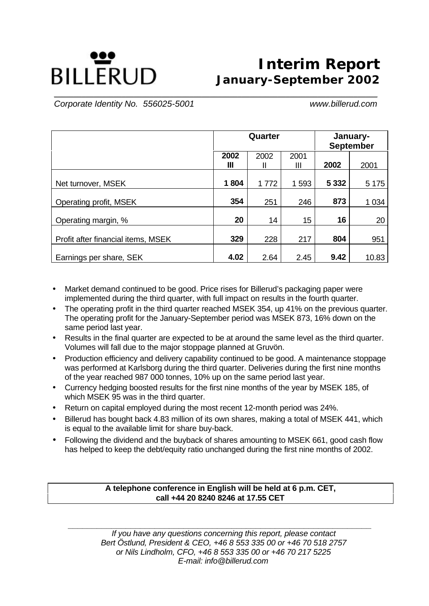# **BILLERUD**

## **Interim Report January-September 2002**

 *Corporate Identity No. 556025-5001 www.billerud.com*

|                                    |           | Quarter   |           |         | January-<br><b>September</b> |  |
|------------------------------------|-----------|-----------|-----------|---------|------------------------------|--|
|                                    | 2002<br>Ш | 2002<br>н | 2001<br>Ш | 2002    | 2001                         |  |
| Net turnover, MSEK                 | 1804      | 1772      | 1593      | 5 3 3 2 | 5 1 7 5                      |  |
| Operating profit, MSEK             | 354       | 251       | 246       | 873     | 1 0 34                       |  |
| Operating margin, %                | 20        | 14        | 15        | 16      | 20                           |  |
| Profit after financial items, MSEK | 329       | 228       | 217       | 804     | 951                          |  |
| Earnings per share, SEK            | 4.02      | 2.64      | 2.45      | 9.42    | 10.83                        |  |

**\_\_\_\_\_\_\_\_\_\_\_\_\_\_\_\_\_\_\_\_\_\_\_\_\_\_\_\_\_\_\_\_\_\_\_\_\_\_\_\_\_\_\_\_\_\_\_\_\_\_\_\_\_\_\_\_\_\_\_\_\_\_\_\_\_\_\_\_\_\_\_\_\_\_\_\_\_\_\_\_\_**

- Market demand continued to be good. Price rises for Billerud's packaging paper were implemented during the third quarter, with full impact on results in the fourth quarter.
- The operating profit in the third quarter reached MSEK 354, up 41% on the previous quarter. The operating profit for the January-September period was MSEK 873, 16% down on the same period last year.
- Results in the final quarter are expected to be at around the same level as the third quarter. Volumes will fall due to the major stoppage planned at Gruvön.
- Production efficiency and delivery capability continued to be good. A maintenance stoppage was performed at Karlsborg during the third quarter. Deliveries during the first nine months of the year reached 987 000 tonnes, 10% up on the same period last year.
- Currency hedging boosted results for the first nine months of the year by MSEK 185, of which MSEK 95 was in the third quarter.
- Return on capital employed during the most recent 12-month period was 24%.
- Billerud has bought back 4.83 million of its own shares, making a total of MSEK 441, which is equal to the available limit for share buy-back.
- Following the dividend and the buyback of shares amounting to MSEK 661, good cash flow has helped to keep the debt/equity ratio unchanged during the first nine months of 2002.

**A telephone conference in English will be held at 6 p.m. CET, call +44 20 8240 8246 at 17.55 CET**

*\_\_\_\_\_\_\_\_\_\_\_\_\_\_\_\_\_\_\_\_\_\_\_\_\_\_\_\_\_\_\_\_\_\_\_\_\_\_\_\_\_\_\_\_\_\_\_\_\_\_\_\_\_\_\_\_\_\_\_\_\_\_\_ If you have any questions concerning this report, please contact Bert Östlund, President & CEO, +46 8 553 335 00 or +46 70 518 2757 or Nils Lindholm, CFO, +46 8 553 335 00 or +46 70 217 5225 E-mail: info@billerud.com*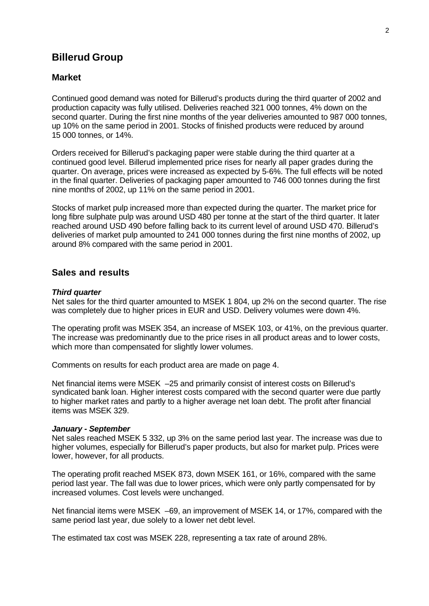## **Billerud Group**

#### **Market**

Continued good demand was noted for Billerud's products during the third quarter of 2002 and production capacity was fully utilised. Deliveries reached 321 000 tonnes, 4% down on the second quarter. During the first nine months of the year deliveries amounted to 987 000 tonnes, up 10% on the same period in 2001. Stocks of finished products were reduced by around 15 000 tonnes, or 14%.

Orders received for Billerud's packaging paper were stable during the third quarter at a continued good level. Billerud implemented price rises for nearly all paper grades during the quarter. On average, prices were increased as expected by 5-6%. The full effects will be noted in the final quarter. Deliveries of packaging paper amounted to 746 000 tonnes during the first nine months of 2002, up 11% on the same period in 2001.

Stocks of market pulp increased more than expected during the quarter. The market price for long fibre sulphate pulp was around USD 480 per tonne at the start of the third quarter. It later reached around USD 490 before falling back to its current level of around USD 470. Billerud's deliveries of market pulp amounted to 241 000 tonnes during the first nine months of 2002, up around 8% compared with the same period in 2001.

## **Sales and results**

#### *Third quarter*

Net sales for the third quarter amounted to MSEK 1 804, up 2% on the second quarter. The rise was completely due to higher prices in EUR and USD. Delivery volumes were down 4%.

The operating profit was MSEK 354, an increase of MSEK 103, or 41%, on the previous quarter. The increase was predominantly due to the price rises in all product areas and to lower costs, which more than compensated for slightly lower volumes.

Comments on results for each product area are made on page 4.

Net financial items were MSEK –25 and primarily consist of interest costs on Billerud's syndicated bank loan. Higher interest costs compared with the second quarter were due partly to higher market rates and partly to a higher average net loan debt. The profit after financial items was MSEK 329.

#### *January - September*

Net sales reached MSEK 5 332, up 3% on the same period last year. The increase was due to higher volumes, especially for Billerud's paper products, but also for market pulp. Prices were lower, however, for all products.

The operating profit reached MSEK 873, down MSEK 161, or 16%, compared with the same period last year. The fall was due to lower prices, which were only partly compensated for by increased volumes. Cost levels were unchanged.

Net financial items were MSEK –69, an improvement of MSEK 14, or 17%, compared with the same period last year, due solely to a lower net debt level.

The estimated tax cost was MSEK 228, representing a tax rate of around 28%.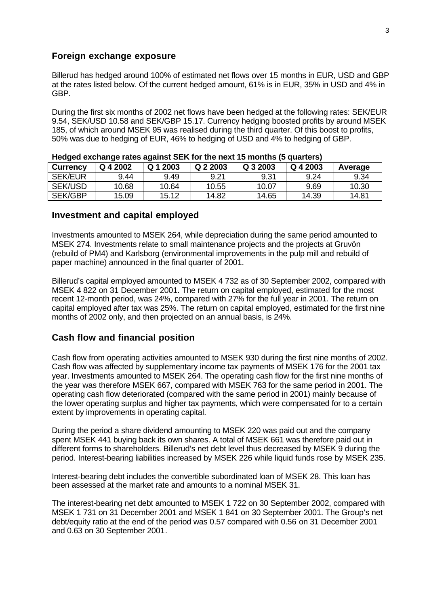#### **Foreign exchange exposure**

Billerud has hedged around 100% of estimated net flows over 15 months in EUR, USD and GBP at the rates listed below. Of the current hedged amount, 61% is in EUR, 35% in USD and 4% in GBP.

During the first six months of 2002 net flows have been hedged at the following rates: SEK/EUR 9.54, SEK/USD 10.58 and SEK/GBP 15.17. Currency hedging boosted profits by around MSEK 185, of which around MSEK 95 was realised during the third quarter. Of this boost to profits, 50% was due to hedging of EUR, 46% to hedging of USD and 4% to hedging of GBP.

| <b>Currency</b> | Q 4 2002 | Q 1 2003 | Q 2 2003 | Q 3 2003 | Q 4 2003 | Average |
|-----------------|----------|----------|----------|----------|----------|---------|
| <b>SEK/EUR</b>  | 9.44     | 9.49     | 9.21     | 9.31     | 9.24     | 9.34    |
| <b>SEK/USD</b>  | 10.68    | 10.64    | 10.55    | 10.07    | 9.69     | 10.30   |
| <b>SEK/GBP</b>  | 15.09    | 15.12    | 14.82    | 14.65    | 14.39    | 14.81   |

|  |  |  | Hedged exchange rates against SEK for the next 15 months (5 quarters) |  |
|--|--|--|-----------------------------------------------------------------------|--|
|  |  |  |                                                                       |  |

#### **Investment and capital employed**

Investments amounted to MSEK 264, while depreciation during the same period amounted to MSEK 274. Investments relate to small maintenance projects and the projects at Gruvön (rebuild of PM4) and Karlsborg (environmental improvements in the pulp mill and rebuild of paper machine) announced in the final quarter of 2001.

Billerud's capital employed amounted to MSEK 4 732 as of 30 September 2002, compared with MSEK 4 822 on 31 December 2001. The return on capital employed, estimated for the most recent 12-month period, was 24%, compared with 27% for the full year in 2001. The return on capital employed after tax was 25%. The return on capital employed, estimated for the first nine months of 2002 only, and then projected on an annual basis, is 24%.

## **Cash flow and financial position**

Cash flow from operating activities amounted to MSEK 930 during the first nine months of 2002. Cash flow was affected by supplementary income tax payments of MSEK 176 for the 2001 tax year. Investments amounted to MSEK 264. The operating cash flow for the first nine months of the year was therefore MSEK 667, compared with MSEK 763 for the same period in 2001. The operating cash flow deteriorated (compared with the same period in 2001) mainly because of the lower operating surplus and higher tax payments, which were compensated for to a certain extent by improvements in operating capital.

During the period a share dividend amounting to MSEK 220 was paid out and the company spent MSEK 441 buying back its own shares. A total of MSEK 661 was therefore paid out in different forms to shareholders. Billerud's net debt level thus decreased by MSEK 9 during the period. Interest-bearing liabilities increased by MSEK 226 while liquid funds rose by MSEK 235.

Interest-bearing debt includes the convertible subordinated loan of MSEK 28. This loan has been assessed at the market rate and amounts to a nominal MSEK 31.

The interest-bearing net debt amounted to MSEK 1 722 on 30 September 2002, compared with MSEK 1 731 on 31 December 2001 and MSEK 1 841 on 30 September 2001. The Group's net debt/equity ratio at the end of the period was 0.57 compared with 0.56 on 31 December 2001 and 0.63 on 30 September 2001.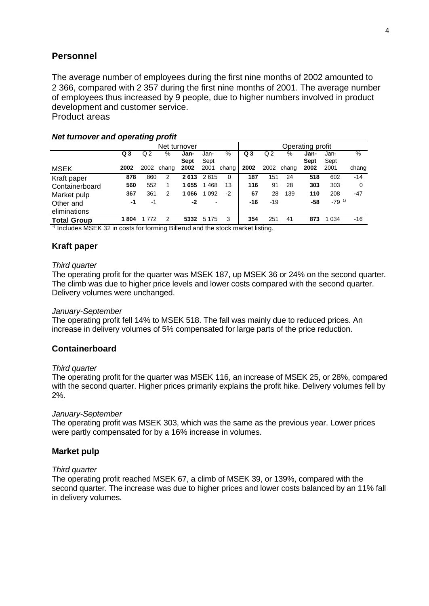## **Personnel**

The average number of employees during the first nine months of 2002 amounted to 2 366, compared with 2 357 during the first nine months of 2001. The average number of employees thus increased by 9 people, due to higher numbers involved in product development and customer service. Product areas

Net turnover<br>
% Jan- Jan- % Q3 Q2 % Jan- Ja **Q 3** Q 2 % **Jan-Sept** Jan-Sept % **Q 3** Q 2 % **Jan-Sept** Jan-Sept % MSEK **2002** 2002 chang e. **2002** 2001 chang  $\overline{0}$ **2002** 2002 chang e. **2002** 2001 chang  $-14$ Kraft paper **878** 860 2 **2 613** 2 615 0 **187** 151 24 **518** 602 -14 Containerboard **560** 552 1 **1 655** 1 468 13 **116** 91 28 **303** 303 0 Market pulp **367** 361 2 **1066** 1092 -2 **67** 28 139 **110** 208<br>Other and **1** -1 -1 -1 -2 - **16** -19 -58 -79<sup>-1)</sup> Other and eliminations **-1** -1 **-2** - **-16** -19 **-58** -79 1) **Total Group 1 804** 1 772 2 **5332** 5 175 3 **354** 251 41 **873** 1 034 -16

#### *Net turnover and operating profit*

 $\frac{1}{1}$  Includes MSEK 32 in costs for forming Billerud and the stock market listing.

### **Kraft paper**

#### *Third quarter*

The operating profit for the quarter was MSEK 187, up MSEK 36 or 24% on the second quarter. The climb was due to higher price levels and lower costs compared with the second quarter. Delivery volumes were unchanged.

#### *January-September*

The operating profit fell 14% to MSEK 518. The fall was mainly due to reduced prices. An increase in delivery volumes of 5% compensated for large parts of the price reduction.

#### **Containerboard**

#### *Third quarter*

The operating profit for the quarter was MSEK 116, an increase of MSEK 25, or 28%, compared with the second quarter. Higher prices primarily explains the profit hike. Delivery volumes fell by 2%.

#### *January-September*

The operating profit was MSEK 303, which was the same as the previous year. Lower prices were partly compensated for by a 16% increase in volumes.

#### **Market pulp**

#### *Third quarter*

The operating profit reached MSEK 67, a climb of MSEK 39, or 139%, compared with the second quarter. The increase was due to higher prices and lower costs balanced by an 11% fall in delivery volumes.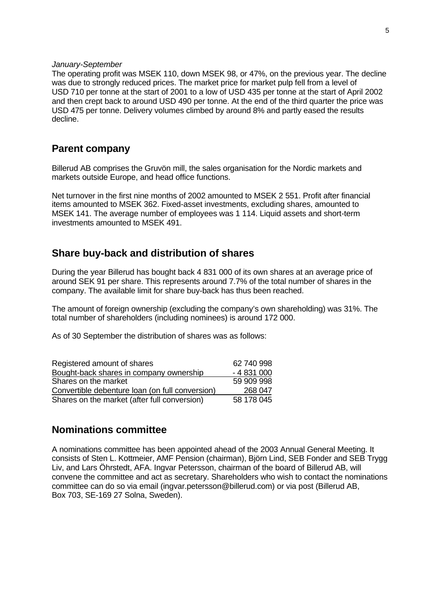#### *January-September*

The operating profit was MSEK 110, down MSEK 98, or 47%, on the previous year. The decline was due to strongly reduced prices. The market price for market pulp fell from a level of USD 710 per tonne at the start of 2001 to a low of USD 435 per tonne at the start of April 2002 and then crept back to around USD 490 per tonne. At the end of the third quarter the price was USD 475 per tonne. Delivery volumes climbed by around 8% and partly eased the results decline.

## **Parent company**

Billerud AB comprises the Gruvön mill, the sales organisation for the Nordic markets and markets outside Europe, and head office functions.

Net turnover in the first nine months of 2002 amounted to MSEK 2 551. Profit after financial items amounted to MSEK 362. Fixed-asset investments, excluding shares, amounted to MSEK 141. The average number of employees was 1 114. Liquid assets and short-term investments amounted to MSEK 491.

## **Share buy-back and distribution of shares**

During the year Billerud has bought back 4 831 000 of its own shares at an average price of around SEK 91 per share. This represents around 7.7% of the total number of shares in the company. The available limit for share buy-back has thus been reached.

The amount of foreign ownership (excluding the company's own shareholding) was 31%. The total number of shareholders (including nominees) is around 172 000.

As of 30 September the distribution of shares was as follows:

| Registered amount of shares                     | 62 740 998 |
|-------------------------------------------------|------------|
| Bought-back shares in company ownership         | $-4831000$ |
| Shares on the market                            | 59 909 998 |
| Convertible debenture loan (on full conversion) | 268 047    |
| Shares on the market (after full conversion)    | 58 178 045 |

## **Nominations committee**

A nominations committee has been appointed ahead of the 2003 Annual General Meeting. It consists of Sten L. Kottmeier, AMF Pension (chairman), Björn Lind, SEB Fonder and SEB Trygg Liv, and Lars Öhrstedt, AFA. Ingvar Petersson, chairman of the board of Billerud AB, will convene the committee and act as secretary. Shareholders who wish to contact the nominations committee can do so via email (ingvar.petersson@billerud.com) or via post (Billerud AB, Box 703, SE-169 27 Solna, Sweden).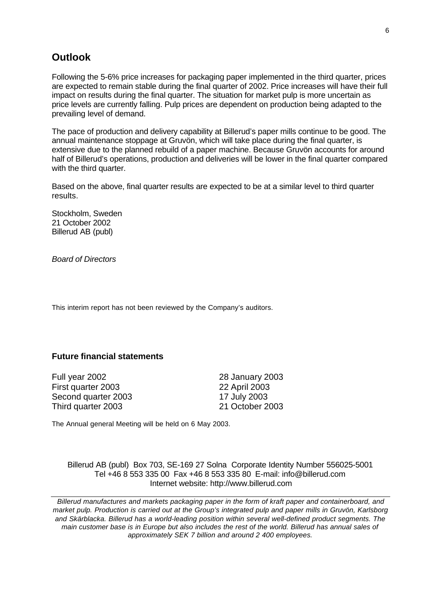## **Outlook**

Following the 5-6% price increases for packaging paper implemented in the third quarter, prices are expected to remain stable during the final quarter of 2002. Price increases will have their full impact on results during the final quarter. The situation for market pulp is more uncertain as price levels are currently falling. Pulp prices are dependent on production being adapted to the prevailing level of demand.

The pace of production and delivery capability at Billerud's paper mills continue to be good. The annual maintenance stoppage at Gruvön, which will take place during the final quarter, is extensive due to the planned rebuild of a paper machine. Because Gruvön accounts for around half of Billerud's operations, production and deliveries will be lower in the final quarter compared with the third quarter.

Based on the above, final quarter results are expected to be at a similar level to third quarter results.

Stockholm, Sweden 21 October 2002 Billerud AB (publ)

*Board of Directors*

This interim report has not been reviewed by the Company's auditors.

## **Future financial statements**

Full year 2002 28 January 2003 First quarter 2003 22 April 2003 Second quarter 2003 17 July 2003 Third quarter 2003 21 October 2003

The Annual general Meeting will be held on 6 May 2003.

Billerud AB (publ) Box 703, SE-169 27 Solna Corporate Identity Number 556025-5001 Tel +46 8 553 335 00 Fax +46 8 553 335 80 E-mail: info@billerud.com Internet website: http://www.billerud.com

*Billerud manufactures and markets packaging paper in the form of kraft paper and containerboard, and market pulp. Production is carried out at the Group's integrated pulp and paper mills in Gruvön, Karlsborg and Skärblacka. Billerud has a world-leading position within several well-defined product segments. The main customer base is in Europe but also includes the rest of the world. Billerud has annual sales of approximately SEK 7 billion and around 2 400 employees.*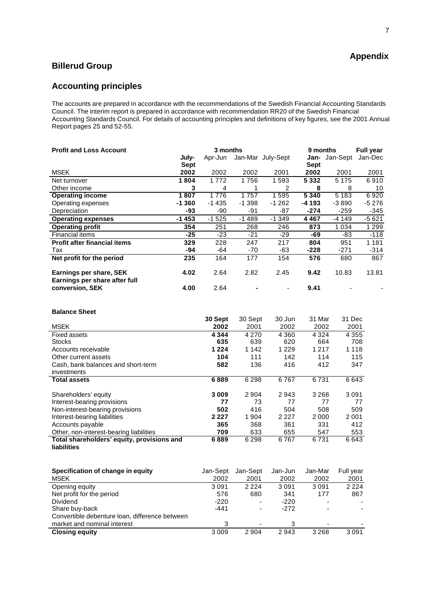## **Billerud Group**

## **Accounting principles**

The accounts are prepared in accordance with the recommendations of the Swedish Financial Accounting Standards Council. The interim report is prepared in accordance with recommendation RR20 of the Swedish Financial Accounting Standards Council. For details of accounting principles and definitions of key figures, see the 2001 Annual Report pages 25 and 52-55.

| <b>Profit and Loss Account</b>                           |             | 3 months |          |                   | 9 months    |          | <b>Full year</b> |  |
|----------------------------------------------------------|-------------|----------|----------|-------------------|-------------|----------|------------------|--|
|                                                          | July-       | Apr-Jun  |          | Jan-Mar July-Sept | Jan-        | Jan-Sept | Jan-Dec          |  |
|                                                          | <b>Sept</b> |          |          |                   | <b>Sept</b> |          |                  |  |
| <b>MSEK</b>                                              | 2002        | 2002     | 2002     | 2001              | 2002        | 2001     | 2001             |  |
| Net turnover                                             | 1804        | 1772     | 1756     | 1593              | 5 3 3 2     | 5 1 7 5  | 6910             |  |
| Other income                                             | 3           | 4        |          | 2                 | 8           | 8        | 10               |  |
| <b>Operating income</b>                                  | 1807        | 1776     | 1757     | 1595              | 5340        | 5 1 8 3  | 6920             |  |
| Operating expenses                                       | $-1360$     | $-1435$  | $-1.398$ | $-1262$           | -4 193      | $-3890$  | -5 276           |  |
| Depreciation                                             | -93         | -90      | -91      | -87               | -274        | -259     | -345             |  |
| <b>Operating expenses</b>                                | $-1453$     | $-1525$  | $-1489$  | $-1.349$          | 4467        | -4 149   | $-5621$          |  |
| <b>Operating profit</b>                                  | 354         | 251      | 268      | 246               | 873         | 1 0 3 4  | 1 2 9 9          |  |
| <b>Financial items</b>                                   | $-25$       | $-23$    | $-21$    | $-29$             | -69         | -83      | $-118$           |  |
| <b>Profit after financial items</b>                      | 329         | 228      | 247      | 217               | 804         | 951      | 1 1 8 1          |  |
| Tax                                                      | -94         | -64      | -70      | -63               | -228        | -271     | $-314$           |  |
| Net profit for the period                                | 235         | 164      | 177      | 154               | 576         | 680      | 867              |  |
| Earnings per share, SEK<br>Earnings per share after full | 4.02        | 2.64     | 2.82     | 2.45              | 9.42        | 10.83    | 13.81            |  |
| conversion, SEK                                          | 4.00        | 2.64     |          |                   | 9.41        |          |                  |  |

#### **Balance Sheet**

|                                            | 30 Sept | 30 Sept | 30 Jun  | 31 Mar  | 31 Dec  |
|--------------------------------------------|---------|---------|---------|---------|---------|
| <b>MSEK</b>                                | 2002    | 2001    | 2002    | 2002    | 2001    |
| <b>Fixed assets</b>                        | 4 3 4 4 | 4 2 7 0 | 4 3 6 0 | 4 3 2 4 | 4 3 5 5 |
| <b>Stocks</b>                              | 635     | 639     | 620     | 664     | 708     |
| Accounts receivable                        | 1 2 2 4 | 1 1 4 2 | 1 2 2 9 | 1 2 1 7 | 1 1 1 8 |
| Other current assets                       | 104     | 111     | 142     | 114     | 115     |
| Cash, bank balances and short-term         | 582     | 136     | 416     | 412     | 347     |
| investments                                |         |         |         |         |         |
| <b>Total assets</b>                        | 6889    | 6 2 9 8 | 6767    | 6731    | 6643    |
|                                            |         |         |         |         |         |
| Shareholders' equity                       | 3 0 0 9 | 2 9 0 4 | 2943    | 3 2 6 8 | 3091    |
| Interest-bearing provisions                | 77      | 73      | 77      | 77      | 77      |
| Non-interest-bearing provisions            | 502     | 416     | 504     | 508     | 509     |
| Interest-bearing liabilities               | 2 2 2 7 | 1904    | 2 2 2 7 | 2000    | 2001    |
| Accounts payable                           | 365     | 368     | 361     | 331     | 412     |
| Other, non-interest-bearing liabilities    | 709     | 633     | 655     | 547     | 553     |
| Total shareholders' equity, provisions and | 6889    | 6 2 9 8 | 6767    | 6731    | 6643    |
| <b>liabilities</b>                         |         |         |         |         |         |

| Specification of change in equity<br><b>MSEK</b> | Jan-Sept<br>2002 | Jan-Sept<br>2001 | Jan-Jun<br>2002 | Jan-Mar<br>2002 | Full year<br>2001 |
|--------------------------------------------------|------------------|------------------|-----------------|-----------------|-------------------|
| Opening equity                                   | 3091             | 2 2 2 4          | 3091            | 3091            | 2 2 2 4           |
| Net profit for the period                        | 576              | 680              | 341             | 177             | 867               |
| Dividend                                         | $-220$           | ٠                | $-220$          |                 |                   |
| Share buy-back                                   | $-441$           | -                | -272            |                 |                   |
| Convertible debenture loan, difference between   |                  |                  |                 |                 |                   |
| market and nominal interest                      | 3                |                  | 3               |                 |                   |
| <b>Closing equity</b>                            | 3009             | 2 9 0 4          | 2943            | 3 2 6 8         | 3091              |

## **Appendix**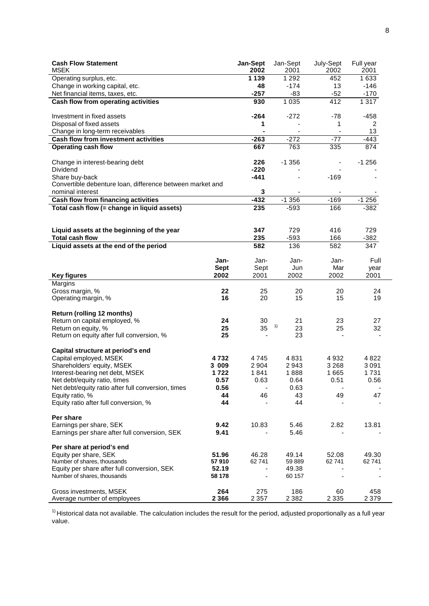| <b>Cash Flow Statement</b><br><b>MSEK</b>                 |             | Jan-Sept<br>2002         | Jan-Sept<br>2001 | July-Sept<br>2002 | Full year<br>2001 |
|-----------------------------------------------------------|-------------|--------------------------|------------------|-------------------|-------------------|
| Operating surplus, etc.                                   |             | 1 1 3 9                  | 1 2 9 2          | 452               | 1633              |
| Change in working capital, etc.                           |             | 48                       | $-174$           | 13                | $-146$            |
| Net financial items, taxes, etc.                          |             | $-257$                   | $-83$            | $-52$             | $-170$            |
| <b>Cash flow from operating activities</b>                |             | 930                      | 1 0 3 5          | 412               | 1317              |
|                                                           |             |                          |                  |                   |                   |
| Investment in fixed assets                                |             | $-264$                   | $-272$           | $-78$             | $-458$            |
| Disposal of fixed assets                                  |             | 1                        |                  | 1                 | 2                 |
| Change in long-term receivables                           |             | $\blacksquare$           |                  |                   | 13                |
| <b>Cash flow from investment activities</b>               |             | $-263$                   | $-272$           | $-77$             | $-443$            |
| <b>Operating cash flow</b>                                |             | 667                      | 763              | 335               | 874               |
|                                                           |             |                          |                  |                   |                   |
| Change in interest-bearing debt                           |             | 226                      | $-1356$          |                   | $-1256$           |
| <b>Dividend</b>                                           |             | $-220$                   |                  |                   |                   |
| Share buy-back                                            |             | $-441$                   |                  | $-169$            |                   |
| Convertible debenture loan, difference between market and |             |                          |                  |                   |                   |
| nominal interest                                          |             | 3                        |                  |                   |                   |
| Cash flow from financing activities                       |             | $-432$                   | $-1356$          | $-169$            | $-1256$           |
| Total cash flow (= change in liquid assets)               |             | 235                      | $-593$           | 166               | $-382$            |
|                                                           |             |                          |                  |                   |                   |
| Liquid assets at the beginning of the year                |             | 347                      | 729              | 416               | 729               |
| <b>Total cash flow</b>                                    |             | 235                      | $-593$           | 166               | $-382$            |
| Liquid assets at the end of the period                    |             | 582                      | 136              | 582               | 347               |
|                                                           |             |                          |                  |                   |                   |
|                                                           | Jan-        | Jan-                     | Jan-             | Jan-              | Full              |
|                                                           | <b>Sept</b> | Sept                     | Jun              | Mar               | year              |
| <b>Key figures</b>                                        | 2002        | 2001                     | 2002             | 2002              | 2001              |
| Margins                                                   |             |                          |                  |                   |                   |
| Gross margin, %                                           | 22          | 25                       | 20               | 20                | 24                |
| Operating margin, %                                       | 16          | 20                       | 15               | 15                | 19                |
|                                                           |             |                          |                  |                   |                   |
| Return (rolling 12 months)                                |             |                          |                  |                   |                   |
| Return on capital employed, %                             | 24          | 30                       | 21<br>1)         | 23                | 27                |
| Return on equity, %                                       | 25          | 35                       | 23               | 25                | 32                |
| Return on equity after full conversion, %                 | 25          |                          | 23               |                   |                   |
| Capital structure at period's end                         |             |                          |                  |                   |                   |
| Capital employed, MSEK                                    | 4 7 3 2     | 4745                     | 4831             | 4932              | 4 8 2 2           |
| Shareholders' equity, MSEK                                | 3 009       | 2 9 0 4                  | 2943             | 3 2 6 8           | 3091              |
| Interest-bearing net debt, MSEK                           | 1722        | 1841                     | 1888             | 1665              | 1731              |
| Net debt/equity ratio, times                              | 0.57        | 0.63                     | 0.64             | 0.51              | 0.56              |
| Net debt/equity ratio after full conversion, times        | 0.56        | $\overline{\phantom{a}}$ | 0.63             |                   |                   |
| Equity ratio, %                                           | 44          | 46                       | 43               | 49                | 47                |
| Equity ratio after full conversion, %                     | 44          |                          | 44               |                   |                   |
|                                                           |             |                          |                  |                   |                   |
| Per share                                                 |             |                          |                  |                   |                   |
| Earnings per share, SEK                                   | 9.42        | 10.83                    | 5.46             | 2.82              | 13.81             |
| Earnings per share after full conversion, SEK             | 9.41        |                          | 5.46             |                   |                   |
| Per share at period's end                                 |             |                          |                  |                   |                   |
| Equity per share, SEK                                     | 51.96       | 46.28                    | 49.14            | 52.08             | 49.30             |
| Number of shares, thousands                               | 57910       | 62741                    | 59 889           | 62741             | 62741             |
| Equity per share after full conversion, SEK               | 52.19       | $\blacksquare$           | 49.38            |                   |                   |
| Number of shares, thousands                               | 58 178      | ä,                       | 60 157           |                   |                   |
|                                                           |             |                          |                  |                   |                   |
| Gross investments, MSEK                                   | 264         | 275                      | 186              | 60                | 458               |
| Average number of employees                               | 2 3 6 6     | 2 3 5 7                  | 2 3 8 2          | 2 3 3 5           | 2 3 7 9           |

 $1)$  Historical data not available. The calculation includes the result for the period, adjusted proportionally as a full year value.